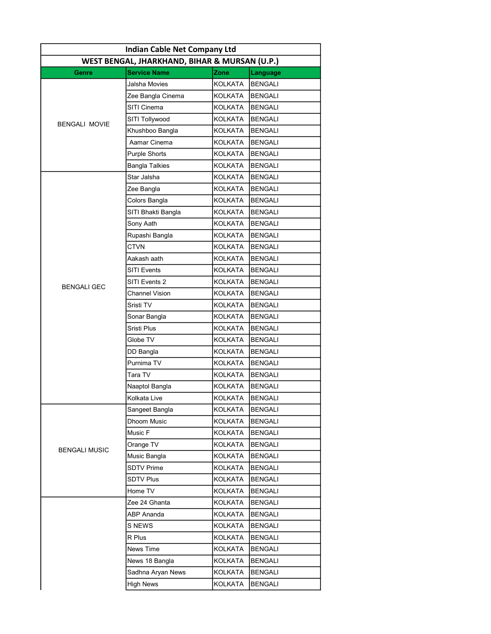| <b>Indian Cable Net Company Ltd</b>           |                       |                |                |  |
|-----------------------------------------------|-----------------------|----------------|----------------|--|
| WEST BENGAL, JHARKHAND, BIHAR & MURSAN (U.P.) |                       |                |                |  |
| Genre                                         | <b>Service Name</b>   | Zone           | Language       |  |
|                                               | Jalsha Movies         | KOLKATA        | <b>BENGALI</b> |  |
|                                               | Zee Bangla Cinema     | KOLKATA        | <b>BENGALI</b> |  |
|                                               | SITI Cinema           | KOLKATA        | <b>BENGALI</b> |  |
| <b>BENGALI MOVIE</b>                          | SITI Tollywood        | KOLKATA        | <b>BENGALI</b> |  |
|                                               | Khushboo Bangla       | KOLKATA        | <b>BENGALI</b> |  |
|                                               | Aamar Cinema          | KOLKATA        | <b>BENGALI</b> |  |
|                                               | <b>Purple Shorts</b>  | KOLKATA        | <b>BENGALI</b> |  |
|                                               | <b>Bangla Talkies</b> | KOLKATA        | <b>BENGALI</b> |  |
|                                               | Star Jalsha           | KOLKATA        | <b>BENGALI</b> |  |
|                                               | Zee Bangla            | KOLKATA        | <b>BENGALI</b> |  |
|                                               | Colors Bangla         | KOLKATA        | <b>BENGALI</b> |  |
|                                               | SITI Bhakti Bangla    | KOLKATA        | <b>BENGALI</b> |  |
|                                               | Sony Aath             | <b>KOLKATA</b> | <b>BENGALI</b> |  |
|                                               | Rupashi Bangla        | KOLKATA        | <b>BENGALI</b> |  |
|                                               | <b>CTVN</b>           | KOLKATA        | <b>BENGALI</b> |  |
|                                               | Aakash aath           | KOLKATA        | <b>BENGALI</b> |  |
|                                               | SITI Events           | KOLKATA        | <b>BENGALI</b> |  |
| <b>BENGALI GEC</b>                            | SITI Events 2         | KOLKATA        | <b>BENGALI</b> |  |
|                                               | <b>Channel Vision</b> | KOLKATA        | <b>BENGALI</b> |  |
|                                               | Sristi TV             | KOLKATA        | <b>BENGALI</b> |  |
|                                               | Sonar Bangla          | KOLKATA        | <b>BENGALI</b> |  |
|                                               | Sristi Plus           | KOLKATA        | <b>BENGALI</b> |  |
|                                               | Globe TV              | KOLKATA        | <b>BENGALI</b> |  |
|                                               | DD Bangla             | KOLKATA        | <b>BENGALI</b> |  |
|                                               | Purnima TV            | KOLKATA        | <b>BENGALI</b> |  |
|                                               | Tara TV               | KOLKATA        | <b>BENGALI</b> |  |
|                                               | Naaptol Bangla        | KOLKATA        | <b>BENGALI</b> |  |
|                                               | Kolkata Live          | KOLKATA        | <b>BENGALI</b> |  |
|                                               | Sangeet Bangla        | <b>KOLKATA</b> | <b>BENGALI</b> |  |
|                                               | Dhoom Music           | <b>KOLKATA</b> | <b>BENGALI</b> |  |
|                                               | Music F               | KOLKATA        | <b>BENGALI</b> |  |
| <b>BENGALI MUSIC</b>                          | Orange TV             | <b>KOLKATA</b> | <b>BENGALI</b> |  |
|                                               | Music Bangla          | <b>KOLKATA</b> | BENGALI        |  |
|                                               | <b>SDTV Prime</b>     | KOLKATA        | <b>BENGALI</b> |  |
|                                               | <b>SDTV Plus</b>      | KOLKATA        | <b>BENGALI</b> |  |
|                                               | Home TV               | KOLKATA        | <b>BENGALI</b> |  |
|                                               | Zee 24 Ghanta         | KOLKATA        | <b>BENGALI</b> |  |
|                                               | ABP Ananda            | KOLKATA        | BENGALI        |  |
|                                               | S NEWS                | <b>KOLKATA</b> | <b>BENGALI</b> |  |
|                                               | R Plus                | KOLKATA        | <b>BENGALI</b> |  |
|                                               | News Time             | KOLKATA        | <b>BENGALI</b> |  |
|                                               | News 18 Bangla        | <b>KOLKATA</b> | <b>BENGALI</b> |  |
|                                               | Sadhna Aryan News     | KOLKATA        | <b>BENGALI</b> |  |
|                                               | <b>High News</b>      | <b>KOLKATA</b> | <b>BENGALI</b> |  |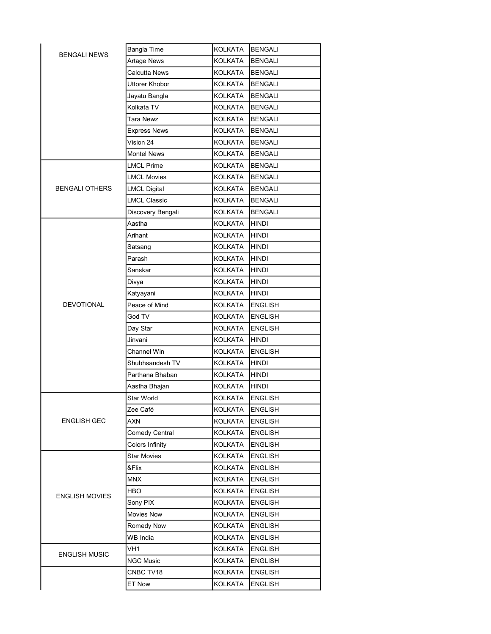| <b>BENGALI NEWS</b>   | <b>Bangla Time</b>  | KOLKATA        | <b>BENGALI</b> |
|-----------------------|---------------------|----------------|----------------|
|                       | <b>Artage News</b>  | <b>KOLKATA</b> | <b>BENGALI</b> |
|                       | Calcutta News       | KOLKATA        | BENGALI        |
|                       | Uttorer Khobor      | KOLKATA        | <b>BENGALI</b> |
|                       | Jayatu Bangla       | KOLKATA        | BENGALI        |
|                       | Kolkata TV          | KOLKATA        | <b>BENGALI</b> |
|                       | Tara Newz           | KOLKATA        | <b>BENGALI</b> |
|                       | <b>Express News</b> | KOLKATA        | <b>BENGALI</b> |
|                       | Vision 24           | KOLKATA        | <b>BENGALI</b> |
|                       | <b>Montel News</b>  | KOLKATA        | <b>BENGALI</b> |
|                       | <b>LMCL Prime</b>   | KOLKATA        | <b>BENGALI</b> |
|                       | <b>LMCL Movies</b>  | KOLKATA        | BENGALI        |
| <b>BENGALI OTHERS</b> | <b>LMCL Digital</b> | KOLKATA        | <b>BENGALI</b> |
|                       | <b>LMCL Classic</b> | KOLKATA        | <b>BENGALI</b> |
|                       | Discovery Bengali   | KOLKATA        | <b>BENGALI</b> |
|                       | Aastha              | KOLKATA        | HINDI          |
|                       | Arihant             | KOLKATA        | <b>HINDI</b>   |
|                       | Satsang             | KOLKATA        | HINDI          |
|                       | Parash              | <b>KOLKATA</b> | HINDI          |
|                       | Sanskar             | KOLKATA        | <b>HINDI</b>   |
|                       | Divya               | KOLKATA        | HINDI          |
|                       | Katyayani           | KOLKATA        | hindi          |
| <b>DEVOTIONAL</b>     | Peace of Mind       | KOLKATA        | <b>ENGLISH</b> |
|                       | God TV              | KOLKATA        | <b>ENGLISH</b> |
|                       | Day Star            | KOLKATA        | ENGLISH        |
|                       | Jinvani             | KOLKATA        | <b>HINDI</b>   |
|                       | Channel Win         | KOLKATA        | <b>ENGLISH</b> |
|                       | Shubhsandesh TV     | <b>KOLKATA</b> | HINDI          |
|                       | Parthana Bhaban     | <b>KOLKATA</b> | HINDI          |
|                       | Aastha Bhajan       | KOLKATA        | HINDI          |
|                       | Star World          | <b>KOLKATA</b> | <b>ENGLISH</b> |
|                       | Zee Café            | KOLKATA        | <b>ENGLISH</b> |
| ENGLISH GEC           | AXN                 | <b>KOLKATA</b> | <b>ENGLISH</b> |
|                       | Comedy Central      | KOLKATA        | <b>ENGLISH</b> |
|                       | Colors Infinity     | <b>KOLKATA</b> | <b>ENGLISH</b> |
|                       | <b>Star Movies</b>  | KOLKATA        | ENGLISH        |
|                       | &Flix               | KOLKATA        | <b>ENGLISH</b> |
| ENGLISH MOVIES        | MNX                 | KOLKATA        | <b>ENGLISH</b> |
|                       | HBO                 | <b>KOLKATA</b> | <b>ENGLISH</b> |
|                       | Sony PIX            | KOLKATA        | <b>ENGLISH</b> |
|                       | Movies Now          | KOLKATA        | <b>ENGLISH</b> |
|                       | Romedy Now          | KOLKATA        | <b>ENGLISH</b> |
|                       | WB India            | KOLKATA        | <b>ENGLISH</b> |
| <b>ENGLISH MUSIC</b>  | VH1                 | <b>KOLKATA</b> | <b>ENGLISH</b> |
|                       | <b>NGC Music</b>    | KOLKATA        | <b>ENGLISH</b> |
|                       | CNBC TV18           | KOLKATA        | <b>ENGLISH</b> |
|                       | ET Now              | KOLKATA        | <b>ENGLISH</b> |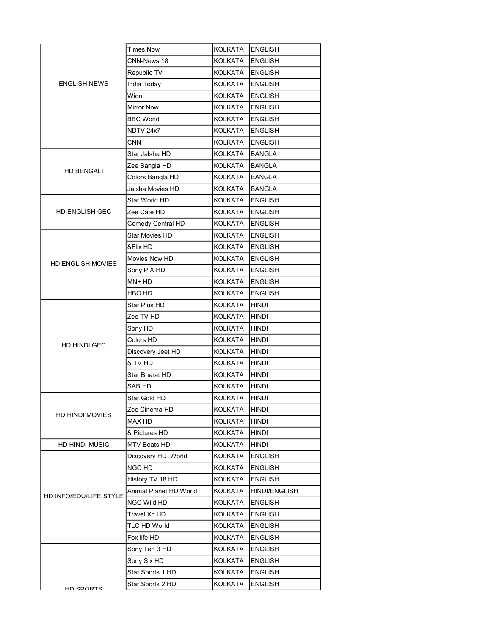|  | <b>Times Now</b>         | KOLKATA                | <b>ENGLISH</b> |                      |
|--|--------------------------|------------------------|----------------|----------------------|
|  | CNN-News 18              | KOLKATA                | <b>ENGLISH</b> |                      |
|  | Republic TV              | KOLKATA                | <b>ENGLISH</b> |                      |
|  | <b>ENGLISH NEWS</b>      | India Today            | KOLKATA        | <b>ENGLISH</b>       |
|  |                          | Wion                   | KOLKATA        | <b>ENGLISH</b>       |
|  |                          | <b>Mirror Now</b>      | KOLKATA        | <b>ENGLISH</b>       |
|  |                          | <b>BBC World</b>       | KOLKATA        | <b>ENGLISH</b>       |
|  |                          | NDTV 24x7              | <b>KOLKATA</b> | <b>ENGLISH</b>       |
|  |                          | <b>CNN</b>             | KOLKATA        | <b>ENGLISH</b>       |
|  |                          | Star Jalsha HD         | KOLKATA        | <b>BANGLA</b>        |
|  | <b>HD BENGALI</b>        | Zee Bangla HD          | KOLKATA        | <b>BANGLA</b>        |
|  |                          | Colors Bangla HD       | KOLKATA        | <b>BANGLA</b>        |
|  |                          | Jalsha Movies HD       | KOLKATA        | <b>BANGLA</b>        |
|  |                          | Star World HD          | KOLKATA        | <b>ENGLISH</b>       |
|  | HD ENGLISH GEC           | Zee Café HD            | KOLKATA        | <b>ENGLISH</b>       |
|  |                          | Comedy Central HD      | KOLKATA        | <b>ENGLISH</b>       |
|  |                          | <b>Star Movies HD</b>  | KOLKATA        | <b>ENGLISH</b>       |
|  |                          | &Flix HD               | KOLKATA        | <b>ENGLISH</b>       |
|  | <b>HD ENGLISH MOVIES</b> | Movies Now HD          | KOLKATA        | <b>ENGLISH</b>       |
|  |                          | Sony PIX HD            | KOLKATA        | <b>ENGLISH</b>       |
|  |                          | MN+ HD                 | KOLKATA        | <b>ENGLISH</b>       |
|  |                          | HBO HD                 | KOLKATA        | <b>ENGLISH</b>       |
|  |                          | Star Plus HD           | KOLKATA        | <b>HINDI</b>         |
|  |                          | Zee TV HD              | KOLKATA        | <b>HINDI</b>         |
|  |                          | Sony HD                | KOLKATA        | <b>HINDI</b>         |
|  | HD HINDI GEC             | Colors HD              | KOLKATA        | HINDI                |
|  |                          | Discovery Jeet HD      | KOLKATA        | <b>HINDI</b>         |
|  |                          | & TV HD                | KOLKATA        | <b>HINDI</b>         |
|  |                          | Star Bharat HD         | KOLKATA        | <b>HINDI</b>         |
|  |                          | SAB HD                 | KOLKATA        | <b>HINDI</b>         |
|  |                          | Star Gold HD           | KOLKATA        | <b>HINDI</b>         |
|  | <b>HD HINDI MOVIES</b>   | Zee Cinema HD          | <b>KOLKATA</b> | <b>HINDI</b>         |
|  |                          | MAX HD                 | <b>KOLKATA</b> | <b>HINDI</b>         |
|  |                          | & Pictures HD          | <b>KOLKATA</b> | <b>HINDI</b>         |
|  | HD HINDI MUSIC           | MTV Beats HD           | <b>KOLKATA</b> | <b>HINDI</b>         |
|  |                          | Discovery HD World     | KOLKATA        | <b>ENGLISH</b>       |
|  |                          | NGC HD                 | KOLKATA        | <b>ENGLISH</b>       |
|  | HD INFO/EDU/LIFE STYLE   | History TV 18 HD       | <b>KOLKATA</b> | <b>ENGLISH</b>       |
|  |                          | Animal Planet HD World | KOLKATA        | <b>HINDI/ENGLISH</b> |
|  |                          | NGC Wild HD            | KOLKATA        | <b>ENGLISH</b>       |
|  |                          | Travel Xp HD           | KOLKATA        | <b>ENGLISH</b>       |
|  |                          | TLC HD World           | <b>KOLKATA</b> | <b>ENGLISH</b>       |
|  |                          | Fox life HD            | <b>KOLKATA</b> | <b>ENGLISH</b>       |
|  |                          | Sony Ten 3 HD          | <b>KOLKATA</b> | <b>ENGLISH</b>       |
|  |                          | Sony Six HD            | KOLKATA        | <b>ENGLISH</b>       |
|  |                          | Star Sports 1 HD       | <b>KOLKATA</b> | <b>ENGLISH</b>       |
|  | HD SPORTS                | Star Sports 2 HD       | <b>KOLKATA</b> | <b>ENGLISH</b>       |
|  |                          |                        |                |                      |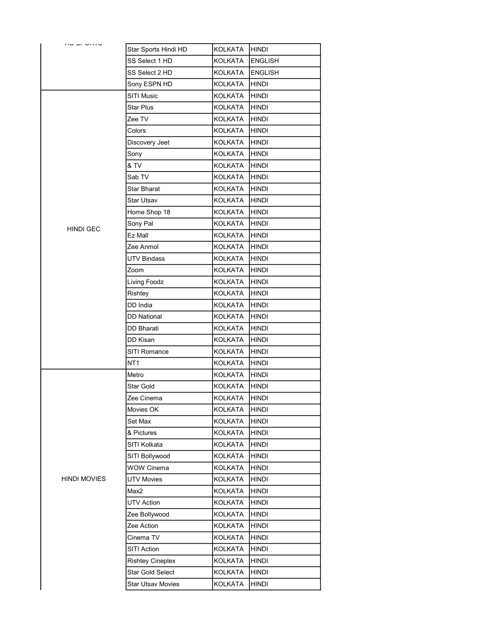| טורוט וט שוו        | Star Sports Hindi HD     | KOLKATA        | <b>HINDI</b>   |
|---------------------|--------------------------|----------------|----------------|
|                     | SS Select 1 HD           | KOLKATA        | <b>ENGLISH</b> |
|                     | SS Select 2 HD           | KOLKATA        | <b>ENGLISH</b> |
|                     | Sony ESPN HD             | KOLKATA        | <b>HINDI</b>   |
|                     | SITI Music               | KOLKATA        | HINDI          |
|                     | <b>Star Plus</b>         | KOLKATA        | <b>HINDI</b>   |
|                     | Zee TV                   | KOLKATA        | HINDI          |
|                     | Colors                   | KOLKATA        | <b>HINDI</b>   |
|                     | Discovery Jeet           | KOLKATA        | <b>HINDI</b>   |
|                     | Sony                     | <b>KOLKATA</b> | <b>HINDI</b>   |
|                     | & TV                     | KOLKATA        | <b>HINDI</b>   |
|                     | Sab TV                   | KOLKATA        | HINDI          |
|                     | <b>Star Bharat</b>       | KOLKATA        | <b>HINDI</b>   |
|                     | Star Utsav               | KOLKATA        | <b>HINDI</b>   |
|                     | Home Shop 18             | KOLKATA        | <b>HINDI</b>   |
|                     | Sony Pal                 | KOLKATA        | <b>HINDI</b>   |
| <b>HINDI GEC</b>    | Ez Mall                  | KOLKATA        | HINDI          |
|                     | Zee Anmol                | KOLKATA        | <b>HINDI</b>   |
|                     | UTV Bindass              | KOLKATA        | <b>HINDI</b>   |
|                     | Zoom                     | KOLKATA        | <b>HINDI</b>   |
|                     | Living Foodz             | KOLKATA        | <b>HINDI</b>   |
|                     | Rishtey                  | KOLKATA        | <b>HINDI</b>   |
|                     | DD India                 | KOLKATA        | <b>HINDI</b>   |
|                     | <b>DD National</b>       | KOLKATA        | HINDI          |
|                     | DD Bharati               | <b>KOLKATA</b> | <b>HINDI</b>   |
|                     | DD Kisan                 | KOLKATA        | <b>HINDI</b>   |
|                     | SITI Romance             | KOLKATA        | <b>HINDI</b>   |
|                     | NT <sub>1</sub>          | KOLKATA        | <b>HINDI</b>   |
|                     | Metro                    | KOLKATA        | <b>HINDI</b>   |
|                     | Star Gold                | KOLKATA        | <b>HINDI</b>   |
|                     | Zee Cinema               | KOLKATA        | HINDI          |
|                     | Movies OK                | KOLKATA        | <b>HINDI</b>   |
|                     | Set Max                  | KOLKATA        | <b>HINDI</b>   |
|                     | & Pictures               | KOLKATA        | <b>HINDI</b>   |
|                     | SITI Kolkata             | KOLKATA        | <b>HINDI</b>   |
|                     | SITI Bollywood           | KOLKATA        | <b>HINDI</b>   |
|                     | <b>WOW Cinema</b>        | <b>KOLKATA</b> | <b>HINDI</b>   |
| <b>HINDI MOVIES</b> | <b>UTV Movies</b>        | KOLKATA        | <b>HINDI</b>   |
|                     | Max2                     | <b>KOLKATA</b> | <b>HINDI</b>   |
|                     | <b>UTV Action</b>        | KOLKATA        | <b>HINDI</b>   |
|                     | Zee Bollywood            | KOLKATA        | <b>HINDI</b>   |
|                     | Zee Action               | KOLKATA        | <b>HINDI</b>   |
|                     | Cinema TV                | <b>KOLKATA</b> | <b>HINDI</b>   |
|                     | SITI Action              | KOLKATA        | <b>HINDI</b>   |
|                     | <b>Rishtey Cineplex</b>  | KOLKATA        | <b>HINDI</b>   |
|                     | Star Gold Select         | KOLKATA        | <b>HINDI</b>   |
|                     | <b>Star Utsav Movies</b> | <b>KOLKATA</b> | <b>HINDI</b>   |
|                     |                          |                |                |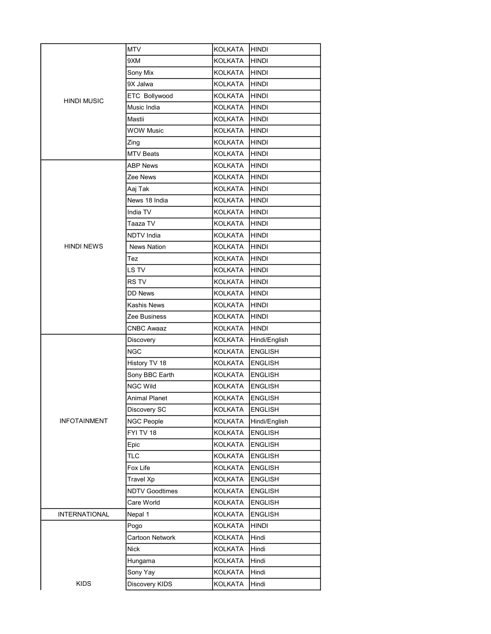|                      | <b>MTV</b>                         | KOLKATA                   | <b>HINDI</b>                     |
|----------------------|------------------------------------|---------------------------|----------------------------------|
|                      | 9XM                                | KOLKATA                   | <b>HINDI</b>                     |
|                      | Sony Mix                           | <b>KOLKATA</b>            | <b>HINDI</b>                     |
|                      | 9X Jalwa                           | KOLKATA                   | <b>HINDI</b>                     |
|                      | ETC Bollywood                      | KOLKATA                   | <b>HINDI</b>                     |
| <b>HINDI MUSIC</b>   | Music India                        | KOLKATA                   | <b>HINDI</b>                     |
|                      | Mastii                             | KOLKATA                   | <b>HINDI</b>                     |
|                      | <b>WOW Music</b>                   | <b>KOLKATA</b>            | HINDI                            |
|                      | Zing                               | KOLKATA                   | <b>HINDI</b>                     |
|                      | <b>MTV Beats</b>                   | KOLKATA                   | HINDI                            |
|                      | <b>ABP News</b>                    | KOLKATA                   | <b>HINDI</b>                     |
|                      | Zee News                           | KOLKATA                   | HINDI                            |
|                      | Aaj Tak                            | KOLKATA                   | HINDI                            |
|                      | News 18 India                      | KOLKATA                   | <b>HINDI</b>                     |
|                      | India TV                           | KOLKATA                   | HINDI                            |
|                      | Taaza TV                           | KOLKATA                   | HINDI                            |
|                      | <b>NDTV</b> India                  | KOLKATA                   | <b>HINDI</b>                     |
| <b>HINDI NEWS</b>    | <b>News Nation</b>                 | KOLKATA                   | HINDI                            |
|                      | Tez                                | KOLKATA                   | <b>HINDI</b>                     |
|                      | LS TV                              | KOLKATA                   | <b>HINDI</b>                     |
|                      | RS TV                              | KOLKATA                   | <b>HINDI</b>                     |
|                      | DD News                            | KOLKATA                   | HINDI                            |
|                      | <b>Kashis News</b>                 | KOLKATA                   | <b>HINDI</b>                     |
|                      | Zee Business                       | KOLKATA                   | <b>HINDI</b>                     |
|                      | <b>CNBC Awaaz</b>                  | KOLKATA                   | HINDI                            |
|                      | Discovery                          | KOLKATA                   | Hindi/English                    |
|                      | <b>NGC</b>                         | KOLKATA                   | <b>ENGLISH</b>                   |
|                      | History TV 18                      | KOLKATA                   | <b>ENGLISH</b>                   |
|                      | Sony BBC Earth                     | KOLKATA                   | <b>ENGLISH</b>                   |
|                      | <b>NGC Wild</b>                    | KOLKATA                   | <b>ENGLISH</b>                   |
|                      | Animal Planet                      | KOLKATA                   | <b>ENGLISH</b>                   |
|                      | Discovery SC                       | KOLKATA                   | <b>ENGLISH</b>                   |
| <b>INFOTAINMENT</b>  | NGC People                         | <b>KOLKATA</b>            | Hindi/English                    |
|                      | FYI TV 18                          | KOLKATA                   | <b>ENGLISH</b>                   |
|                      | Epic                               | KOLKATA                   | <b>ENGLISH</b>                   |
|                      | <b>TLC</b>                         | KOLKATA                   | <b>ENGLISH</b>                   |
|                      | Fox Life                           | KOLKATA                   | <b>ENGLISH</b>                   |
|                      | Travel Xp<br><b>NDTV Goodtimes</b> | KOLKATA<br><b>KOLKATA</b> | <b>ENGLISH</b><br><b>ENGLISH</b> |
|                      | Care World                         | KOLKATA                   | <b>ENGLISH</b>                   |
|                      |                                    |                           |                                  |
| <b>INTERNATIONAL</b> | Nepal 1<br>Pogo                    | KOLKATA<br>KOLKATA        | <b>ENGLISH</b><br><b>HINDI</b>   |
|                      | Cartoon Network                    | KOLKATA                   | Hindi                            |
|                      | Nick                               | KOLKATA                   | Hindi                            |
|                      | Hungama                            | KOLKATA                   | Hindi                            |
|                      | Sony Yay                           | KOLKATA                   | Hindi                            |
| <b>KIDS</b>          | Discovery KIDS                     | KOLKATA                   | Hindi                            |
|                      |                                    |                           |                                  |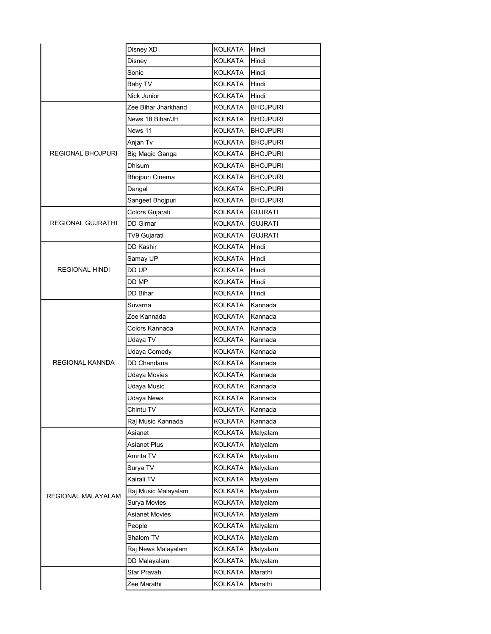|                          | Disney XD           | KOLKATA        | Hindi           |
|--------------------------|---------------------|----------------|-----------------|
|                          | Disney              | <b>KOLKATA</b> | Hindi           |
|                          | Sonic               | KOLKATA        | Hindi           |
|                          | Baby TV             | KOLKATA        | Hindi           |
|                          | Nick Junior         | KOLKATA        | Hindi           |
|                          | Zee Bihar Jharkhand | KOLKATA        | <b>BHOJPURI</b> |
|                          | News 18 Bihar/JH    | <b>KOLKATA</b> | <b>BHOJPURI</b> |
|                          | News 11             | <b>KOLKATA</b> | <b>BHOJPURI</b> |
|                          | Anjan Tv            | <b>KOLKATA</b> | <b>BHOJPURI</b> |
| REGIONAL BHOJPURI        | Big Magic Ganga     | KOLKATA        | <b>BHOJPURI</b> |
|                          | Dhisum              | <b>KOLKATA</b> | <b>BHOJPURI</b> |
|                          | Bhojpuri Cinema     | KOLKATA        | <b>BHOJPURI</b> |
|                          | Dangal              | KOLKATA        | <b>BHOJPURI</b> |
|                          | Sangeet Bhojpuri    | <b>KOLKATA</b> | <b>BHOJPURI</b> |
|                          | Colors Gujarati     | KOLKATA        | GUJRATI         |
| <b>REGIONAL GUJRATHI</b> | <b>DD Girnar</b>    | KOLKATA        | <b>GUJRATI</b>  |
|                          | TV9 Gujarati        | KOLKATA        | <b>GUJRATI</b>  |
|                          | DD Kashir           | <b>KOLKATA</b> | Hindi           |
|                          | Samay UP            | KOLKATA        | Hindi           |
| <b>REGIONAL HINDI</b>    | DD UP               | KOLKATA        | Hindi           |
|                          | DD MP               | <b>KOLKATA</b> | Hindi           |
|                          | DD Bihar            | KOLKATA        | Hindi           |
|                          | Suvarna             | <b>KOLKATA</b> | Kannada         |
|                          | Zee Kannada         | KOLKATA        | Kannada         |
|                          | Colors Kannada      | KOLKATA        | Kannada         |
|                          | Udaya TV            | <b>KOLKATA</b> | Kannada         |
|                          | Udaya Comedy        | <b>KOLKATA</b> | Kannada         |
| REGIONAL KANNDA          | DD Chandana         | KOLKATA        | Kannada         |
|                          | Udaya Movies        | KOLKATA        | Kannada         |
|                          | Udaya Music         | <b>KOLKATA</b> | Kannada         |
|                          | Udaya News          | KOLKATA        | Kannada         |
|                          | Chintu TV           | KOLKATA        | Kannada         |
|                          | Raj Music Kannada   | KOLKATA        | Kannada         |
|                          | Asianet             | KOLKATA        | Malyalam        |
| REGIONAL MALAYALAM       | <b>Asianet Plus</b> | KOLKATA        | Malyalam        |
|                          | Amrita TV           | KOLKATA        | Malyalam        |
|                          | Surya TV            | KOLKATA        | Malyalam        |
|                          | Kairali TV          | KOLKATA        | Malyalam        |
|                          | Raj Music Malayalam | <b>KOLKATA</b> | Malyalam        |
|                          | Surya Movies        | <b>KOLKATA</b> | Malyalam        |
|                          | Asianet Movies      | KOLKATA        | Malyalam        |
|                          | People              | KOLKATA        | Malyalam        |
|                          | Shalom TV           | KOLKATA        | Malyalam        |
|                          | Raj News Malayalam  | KOLKATA        | Malyalam        |
|                          | DD Malayalam        | KOLKATA        | Malyalam        |
|                          | Star Pravah         | KOLKATA        | Marathi         |
|                          | Zee Marathi         | KOLKATA        | Marathi         |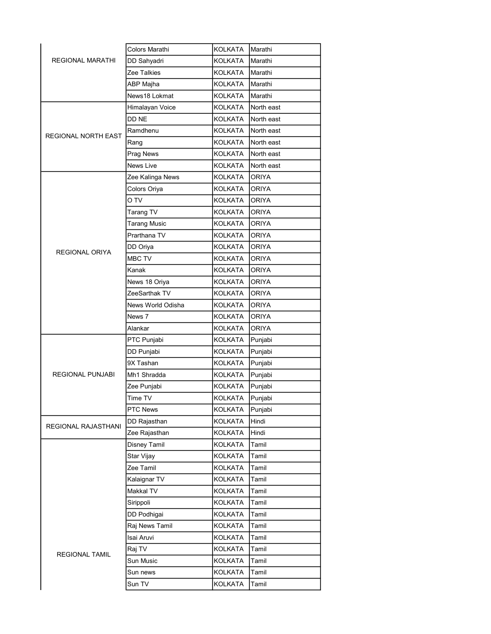|                         | Colors Marathi      | KOLKATA        | Marathi      |
|-------------------------|---------------------|----------------|--------------|
| <b>REGIONAL MARATHI</b> | DD Sahyadri         | KOLKATA        | Marathi      |
|                         | Zee Talkies         | KOLKATA        | Marathi      |
|                         | ABP Majha           | KOLKATA        | Marathi      |
|                         | News18 Lokmat       | KOLKATA        | Marathi      |
|                         | Himalayan Voice     | KOLKATA        | North east   |
|                         | DD NE               | KOLKATA        | North east   |
| REGIONAL NORTH EAST     | Ramdhenu            | KOLKATA        | North east   |
|                         | Rang                | KOLKATA        | North east   |
|                         | Prag News           | KOLKATA        | North east   |
|                         | <b>News Live</b>    | KOLKATA        | North east   |
|                         | Zee Kalinga News    | KOLKATA        | ORIYA        |
|                         | Colors Oriya        | KOLKATA        | <b>ORIYA</b> |
|                         | O TV                | <b>KOLKATA</b> | ORIYA        |
|                         | Tarang TV           | KOLKATA        | ORIYA        |
|                         | <b>Tarang Music</b> | KOLKATA        | ORIYA        |
|                         | Prarthana TV        | KOLKATA        | <b>ORIYA</b> |
| REGIONAL ORIYA          | DD Oriya            | KOLKATA        | ORIYA        |
|                         | MBC TV              | KOLKATA        | ORIYA        |
|                         | Kanak               | KOLKATA        | <b>ORIYA</b> |
|                         | News 18 Oriya       | KOLKATA        | <b>ORIYA</b> |
|                         | ZeeSarthak TV       | KOLKATA        | ORIYA        |
|                         | News World Odisha   | KOLKATA        | <b>ORIYA</b> |
|                         | News 7              | KOLKATA        | ORIYA        |
|                         | Alankar             | KOLKATA        | ORIYA        |
|                         | PTC Punjabi         | KOLKATA        | Punjabi      |
|                         | DD Punjabi          | KOLKATA        | Punjabi      |
|                         | 9X Tashan           | KOLKATA        | Punjabi      |
| <b>REGIONAL PUNJABI</b> | Mh1 Shradda         | KOLKATA        | Punjabi      |
|                         | Zee Punjabi         | KOLKATA        | Punjabi      |
|                         | Time TV             | KOLKATA        | Punjabi      |
|                         | PTC News            | KOLKATA        | Punjabi      |
| REGIONAL RAJASTHANI     | DD Rajasthan        | KOLKATA        | Hindi        |
|                         | Zee Rajasthan       | KOLKATA        | Hindi        |
|                         | <b>Disney Tamil</b> | KOLKATA        | Tamil        |
|                         | Star Vijay          | KOLKATA        | Tamil        |
|                         | Zee Tamil           | KOLKATA        | Tamil        |
|                         | Kalaignar TV        | <b>KOLKATA</b> | Tamil        |
|                         | Makkal TV           | <b>KOLKATA</b> | Tamil        |
|                         | Sirippoli           | KOLKATA        | Tamil        |
|                         | DD Podhigai         | KOLKATA        | Tamil        |
|                         | Raj News Tamil      | KOLKATA        | Tamil        |
|                         | Isai Aruvi          | KOLKATA        | Tamil        |
| <b>REGIONAL TAMIL</b>   | Raj TV              | KOLKATA        | Tamil        |
|                         | Sun Music           | KOLKATA        | Tamil        |
|                         | Sun news            | KOLKATA        | Tamil        |
|                         | Sun TV              | KOLKATA        | Tamil        |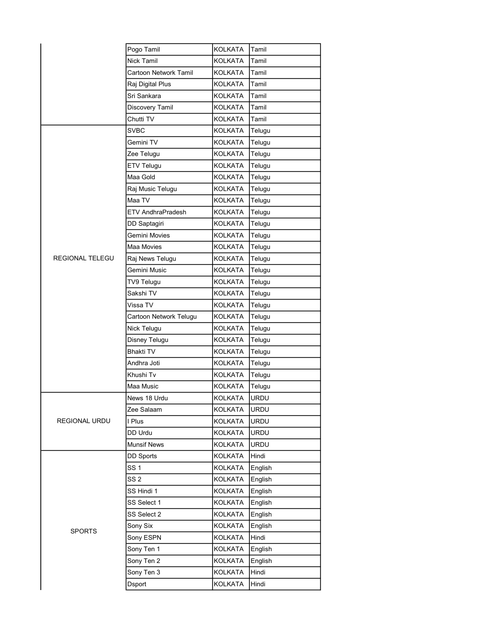|                        | Pogo Tamil               | <b>KOLKATA</b> | Tamil       |
|------------------------|--------------------------|----------------|-------------|
|                        | Nick Tamil               | <b>KOLKATA</b> | Tamil       |
|                        | Cartoon Network Tamil    | <b>KOLKATA</b> | Tamil       |
|                        | Raj Digital Plus         | <b>KOLKATA</b> | Tamil       |
|                        | Sri Sankara              | KOLKATA        | Tamil       |
|                        | Discovery Tamil          | KOLKATA        | Tamil       |
|                        | Chutti TV                | KOLKATA        | Tamil       |
|                        | <b>SVBC</b>              | KOLKATA        | Telugu      |
|                        | Gemini TV                | KOLKATA        | Telugu      |
|                        | Zee Telugu               | <b>KOLKATA</b> | Telugu      |
|                        | ETV Telugu               | KOLKATA        | Telugu      |
|                        | Maa Gold                 | KOLKATA        | Telugu      |
|                        | Raj Music Telugu         | KOLKATA        | Telugu      |
|                        | Maa TV                   | <b>KOLKATA</b> | Telugu      |
|                        | <b>ETV AndhraPradesh</b> | KOLKATA        | Telugu      |
|                        | DD Saptagiri             | KOLKATA        | Telugu      |
|                        | Gemini Movies            | KOLKATA        | Telugu      |
|                        | Maa Movies               | KOLKATA        | Telugu      |
| <b>REGIONAL TELEGU</b> | Raj News Telugu          | KOLKATA        | Telugu      |
|                        | Gemini Music             | KOLKATA        | Telugu      |
|                        | TV9 Telugu               | KOLKATA        | Telugu      |
|                        | Sakshi TV                | KOLKATA        | Telugu      |
|                        | Vissa TV                 | KOLKATA        | Telugu      |
|                        | Cartoon Network Telugu   | KOLKATA        | Telugu      |
|                        | Nick Telugu              | KOLKATA        | Telugu      |
|                        | Disney Telugu            | KOLKATA        | Telugu      |
|                        | <b>Bhakti TV</b>         | KOLKATA        | Telugu      |
|                        | Andhra Joti              | KOLKATA        | Telugu      |
|                        | Khushi Tv                | KOLKATA        | Telugu      |
|                        | Maa Music                | KOLKATA        | Telugu      |
|                        | News 18 Urdu             | <b>KOLKATA</b> | URDU        |
|                        | Zee Salaam               | KOLKATA        | <b>URDU</b> |
| REGIONAL URDU          | I Plus                   | KOLKATA        | URDU        |
|                        | DD Urdu                  | KOLKATA        | <b>URDU</b> |
|                        | <b>Munsif News</b>       | KOLKATA        | <b>URDU</b> |
|                        | <b>DD Sports</b>         | KOLKATA        | Hindi       |
|                        | SS <sub>1</sub>          | KOLKATA        | English     |
|                        | SS <sub>2</sub>          | KOLKATA        | English     |
|                        | SS Hindi 1               | KOLKATA        | English     |
|                        | SS Select 1              | KOLKATA        | English     |
|                        | SS Select 2              | KOLKATA        | English     |
|                        | Sony Six                 | KOLKATA        | English     |
| <b>SPORTS</b>          | Sony ESPN                | KOLKATA        | Hindi       |
|                        | Sony Ten 1               | KOLKATA        | English     |
|                        | Sony Ten 2               | KOLKATA        | English     |
|                        | Sony Ten 3               | KOLKATA        | Hindi       |
|                        | <b>Dsport</b>            | <b>KOLKATA</b> | Hindi       |
|                        |                          |                |             |